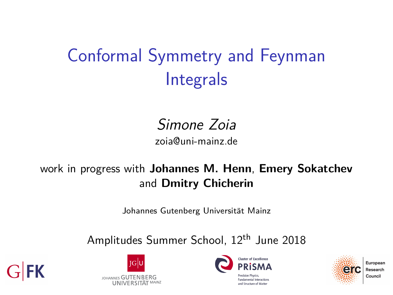# Conformal Symmetry and Feynman Integrals

#### Simone Zoia zoia@uni-mainz.de

#### work in progress with **Johannes M. Henn**, **Emery Sokatchev** and **Dmitry Chicherin**

Johannes Gutenberg Universität Mainz

Amplitudes Summer School, 12<sup>th</sup> June 2018







ind Structure of Matte.

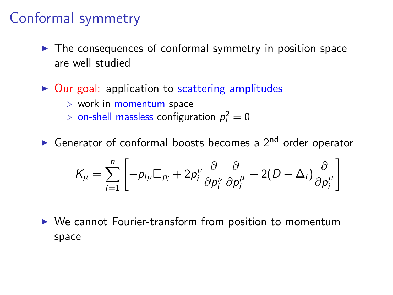### Conformal symmetry

- $\blacktriangleright$  The consequences of conformal symmetry in position space are well studied
- $\triangleright$  Our goal: application to scattering amplitudes
	- *.* work in momentum space
	- $\triangleright$  on-shell massless configuration  $p_i^2=0$
- Generator of conformal boosts becomes a  $2<sup>nd</sup>$  order operator

$$
K_{\mu} = \sum_{i=1}^{n} \left[ -p_{i\mu} \Box_{p_i} + 2p_i^{\nu} \frac{\partial}{\partial p_i^{\nu}} \frac{\partial}{\partial p_i^{\mu}} + 2(D - \Delta_i) \frac{\partial}{\partial p_i^{\mu}} \right]
$$

 $\triangleright$  We cannot Fourier-transform from position to momentum space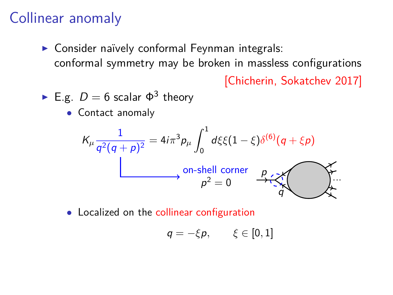## Collinear anomaly

▶ Consider naïvely conformal Feynman integrals: conformal symmetry may be broken in massless configurations

[Chicherin, Sokatchev 2017]

• E.g. 
$$
D = 6
$$
 scalar  $\Phi^3$  theory

• Contact anomaly

$$
K_{\mu} \frac{1}{q^2(q+p)^2} = 4i\pi^3 p_{\mu} \int_0^1 d\xi \xi (1-\xi) \delta^{(6)}(q+\xi p)
$$
  
on-shell corner  

$$
p^2 = 0 \qquad \xrightarrow{p} \xi \xi
$$

• Localized on the collinear configuration

$$
q=-\xi p,\qquad \xi\in[0,1]
$$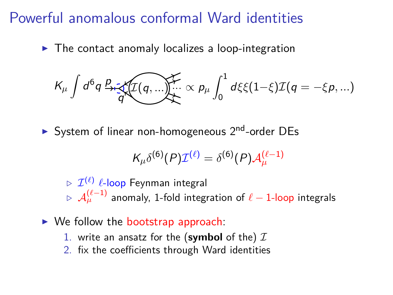### Powerful anomalous conformal Ward identities

 $\triangleright$  The contact anomaly localizes a loop-integration

$$
K_{\mu} \int d^6q \, \frac{p}{q} \cdot \sqrt{\mathcal{I}(q,...)} \times p_{\mu} \int_0^1 d\xi \xi (1-\xi) \mathcal{I}(q=-\xi p,...)
$$

System of linear non-homogeneous  $2<sup>nd</sup>$ -order DEs

$$
K_{\mu}\delta^{(6)}(P)\mathcal{I}^{(\ell)}=\delta^{(6)}(P)\mathcal{A}^{(\ell-1)}_{\mu}
$$

 $\triangleright$   $\mathcal{I}^{(\ell)}$   $\ell$ -loop Feynman integral  $\triangleright$   $\mathcal{A}_{\mu}^{(\ell-1)}$  anomaly, 1-fold integration of  $\ell-$  1-loop integrals

- $\triangleright$  We follow the bootstrap approach:
	- 1. write an ansatz for the (symbol of the)  $I$
	- 2. fix the coefficients through Ward identities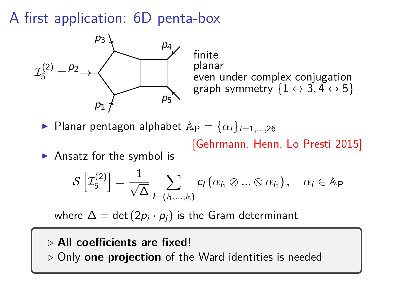#### A first application: 6D penta-box



finite planar even under complex conjugation graph symmetry  $\{1 \leftrightarrow 3, 4 \leftrightarrow 5\}$ 

Planar pentagon alphabet  $Ap = \{\alpha_i\}_{i=1,\dots,26}$ 

[Gehrmann, Henn, Lo Presti 2015]

 $\blacktriangleright$  Ansatz for the symbol is

$$
\mathcal{S}\left[\mathcal{I}_{5}^{(2)}\right]=\frac{1}{\sqrt{\Delta}}\sum_{I=(i_{1},...,i_{5})}c_{I}\left(\alpha_{i_{1}}\otimes...\otimes\alpha_{i_{5}}\right),\quad\alpha_{i}\in\mathbb{A}_{P}
$$

where  $\Delta = \det \left( 2 p_i \cdot p_j \right)$  is the Gram determinant

#### *.* **All coefficients are fixed**!

*.* Only **one projection** of the Ward identities is needed